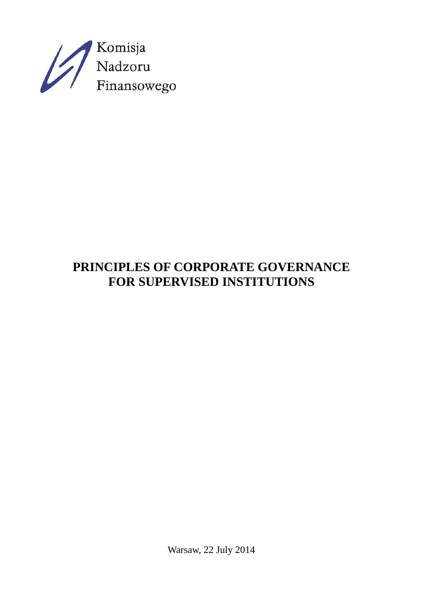

# **PRINCIPLES OF CORPORATE GOVERNANCE FOR SUPERVISED INSTITUTIONS**

Warsaw, 22 July 2014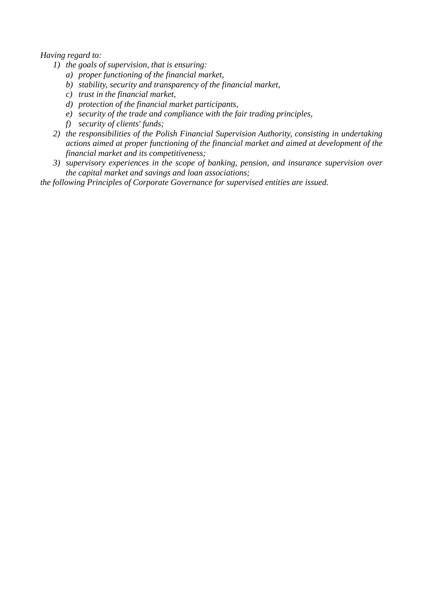# *Having regard to:*

- *1) the goals of supervision, that is ensuring:* 
	- *a) proper functioning of the financial market,*
	- *b) stability, security and transparency of the financial market,*
	- *c) trust in the financial market,*
	- *d) protection of the financial market participants,*
	- *e) security of the trade and compliance with the fair trading principles,*
	- *f) security of clients' funds;*
- *2) the responsibilities of the Polish Financial Supervision Authority, consisting in undertaking actions aimed at proper functioning of the financial market and aimed at development of the financial market and its competitiveness;*
- *3) supervisory experiences in the scope of banking, pension, and insurance supervision over the capital market and savings and loan associations;*

*the following Principles of Corporate Governance for supervised entities are issued.*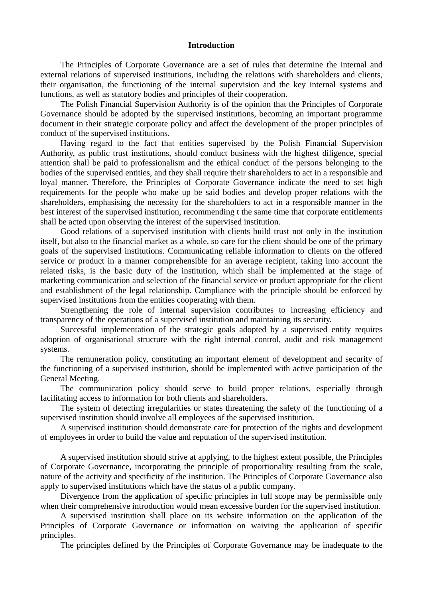#### **Introduction**

The Principles of Corporate Governance are a set of rules that determine the internal and external relations of supervised institutions, including the relations with shareholders and clients, their organisation, the functioning of the internal supervision and the key internal systems and functions, as well as statutory bodies and principles of their cooperation.

The Polish Financial Supervision Authority is of the opinion that the Principles of Corporate Governance should be adopted by the supervised institutions, becoming an important programme document in their strategic corporate policy and affect the development of the proper principles of conduct of the supervised institutions.

Having regard to the fact that entities supervised by the Polish Financial Supervision Authority, as public trust institutions, should conduct business with the highest diligence, special attention shall be paid to professionalism and the ethical conduct of the persons belonging to the bodies of the supervised entities, and they shall require their shareholders to act in a responsible and loyal manner. Therefore, the Principles of Corporate Governance indicate the need to set high requirements for the people who make up be said bodies and develop proper relations with the shareholders, emphasising the necessity for the shareholders to act in a responsible manner in the best interest of the supervised institution, recommending t the same time that corporate entitlements shall be acted upon observing the interest of the supervised institution.

Good relations of a supervised institution with clients build trust not only in the institution itself, but also to the financial market as a whole, so care for the client should be one of the primary goals of the supervised institutions. Communicating reliable information to clients on the offered service or product in a manner comprehensible for an average recipient, taking into account the related risks, is the basic duty of the institution, which shall be implemented at the stage of marketing communication and selection of the financial service or product appropriate for the client and establishment of the legal relationship. Compliance with the principle should be enforced by supervised institutions from the entities cooperating with them.

Strengthening the role of internal supervision contributes to increasing efficiency and transparency of the operations of a supervised institution and maintaining its security.

Successful implementation of the strategic goals adopted by a supervised entity requires adoption of organisational structure with the right internal control, audit and risk management systems.

The remuneration policy, constituting an important element of development and security of the functioning of a supervised institution, should be implemented with active participation of the General Meeting.

The communication policy should serve to build proper relations, especially through facilitating access to information for both clients and shareholders.

The system of detecting irregularities or states threatening the safety of the functioning of a supervised institution should involve all employees of the supervised institution.

A supervised institution should demonstrate care for protection of the rights and development of employees in order to build the value and reputation of the supervised institution.

A supervised institution should strive at applying, to the highest extent possible, the Principles of Corporate Governance, incorporating the principle of proportionality resulting from the scale, nature of the activity and specificity of the institution. The Principles of Corporate Governance also apply to supervised institutions which have the status of a public company.

Divergence from the application of specific principles in full scope may be permissible only when their comprehensive introduction would mean excessive burden for the supervised institution.

A supervised institution shall place on its website information on the application of the Principles of Corporate Governance or information on waiving the application of specific principles.

The principles defined by the Principles of Corporate Governance may be inadequate to the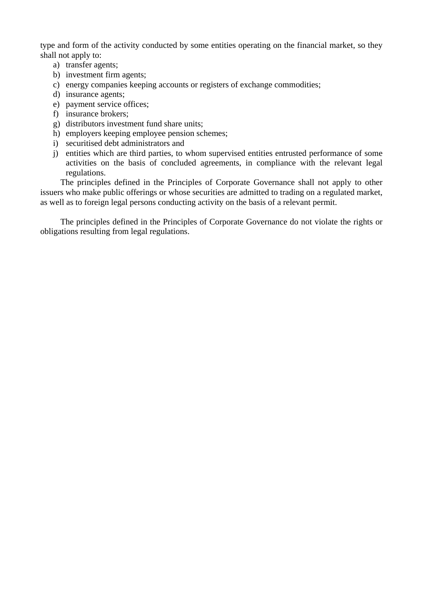type and form of the activity conducted by some entities operating on the financial market, so they shall not apply to:

- a) transfer agents;
- b) investment firm agents;
- c) energy companies keeping accounts or registers of exchange commodities;
- d) insurance agents;
- e) payment service offices;
- f) insurance brokers;
- g) distributors investment fund share units;
- h) employers keeping employee pension schemes;
- i) securitised debt administrators and
- j) entities which are third parties, to whom supervised entities entrusted performance of some activities on the basis of concluded agreements, in compliance with the relevant legal regulations.

The principles defined in the Principles of Corporate Governance shall not apply to other issuers who make public offerings or whose securities are admitted to trading on a regulated market, as well as to foreign legal persons conducting activity on the basis of a relevant permit.

The principles defined in the Principles of Corporate Governance do not violate the rights or obligations resulting from legal regulations.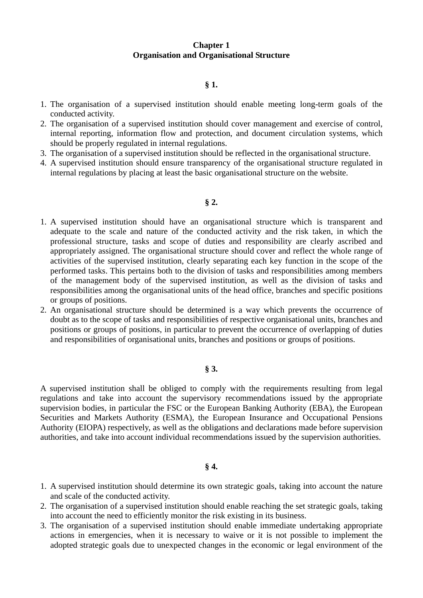# **Chapter 1 Organisation and Organisational Structure**

# **§ 1.**

- 1. The organisation of a supervised institution should enable meeting long-term goals of the conducted activity.
- 2. The organisation of a supervised institution should cover management and exercise of control, internal reporting, information flow and protection, and document circulation systems, which should be properly regulated in internal regulations.
- 3. The organisation of a supervised institution should be reflected in the organisational structure.
- 4. A supervised institution should ensure transparency of the organisational structure regulated in internal regulations by placing at least the basic organisational structure on the website.

## **§ 2.**

- 1. A supervised institution should have an organisational structure which is transparent and adequate to the scale and nature of the conducted activity and the risk taken, in which the professional structure, tasks and scope of duties and responsibility are clearly ascribed and appropriately assigned. The organisational structure should cover and reflect the whole range of activities of the supervised institution, clearly separating each key function in the scope of the performed tasks. This pertains both to the division of tasks and responsibilities among members of the management body of the supervised institution, as well as the division of tasks and responsibilities among the organisational units of the head office, branches and specific positions or groups of positions.
- 2. An organisational structure should be determined is a way which prevents the occurrence of doubt as to the scope of tasks and responsibilities of respective organisational units, branches and positions or groups of positions, in particular to prevent the occurrence of overlapping of duties and responsibilities of organisational units, branches and positions or groups of positions.

# **§ 3.**

A supervised institution shall be obliged to comply with the requirements resulting from legal regulations and take into account the supervisory recommendations issued by the appropriate supervision bodies, in particular the FSC or the European Banking Authority (EBA), the European Securities and Markets Authority (ESMA), the European Insurance and Occupational Pensions Authority (EIOPA) respectively, as well as the obligations and declarations made before supervision authorities, and take into account individual recommendations issued by the supervision authorities.

## **§ 4.**

- 1. A supervised institution should determine its own strategic goals, taking into account the nature and scale of the conducted activity.
- 2. The organisation of a supervised institution should enable reaching the set strategic goals, taking into account the need to efficiently monitor the risk existing in its business.
- 3. The organisation of a supervised institution should enable immediate undertaking appropriate actions in emergencies, when it is necessary to waive or it is not possible to implement the adopted strategic goals due to unexpected changes in the economic or legal environment of the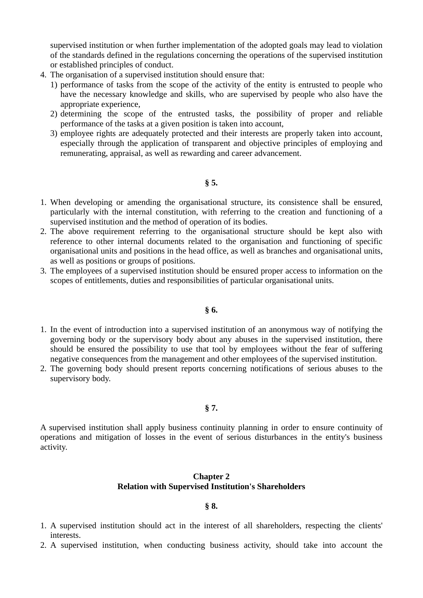supervised institution or when further implementation of the adopted goals may lead to violation of the standards defined in the regulations concerning the operations of the supervised institution or established principles of conduct.

- 4. The organisation of a supervised institution should ensure that:
	- 1) performance of tasks from the scope of the activity of the entity is entrusted to people who have the necessary knowledge and skills, who are supervised by people who also have the appropriate experience,
	- 2) determining the scope of the entrusted tasks, the possibility of proper and reliable performance of the tasks at a given position is taken into account,
	- 3) employee rights are adequately protected and their interests are properly taken into account, especially through the application of transparent and objective principles of employing and remunerating, appraisal, as well as rewarding and career advancement.
		- **§ 5.**
- 1. When developing or amending the organisational structure, its consistence shall be ensured, particularly with the internal constitution, with referring to the creation and functioning of a supervised institution and the method of operation of its bodies.
- 2. The above requirement referring to the organisational structure should be kept also with reference to other internal documents related to the organisation and functioning of specific organisational units and positions in the head office, as well as branches and organisational units, as well as positions or groups of positions.
- 3. The employees of a supervised institution should be ensured proper access to information on the scopes of entitlements, duties and responsibilities of particular organisational units.

# **§ 6.**

- 1. In the event of introduction into a supervised institution of an anonymous way of notifying the governing body or the supervisory body about any abuses in the supervised institution, there should be ensured the possibility to use that tool by employees without the fear of suffering negative consequences from the management and other employees of the supervised institution.
- 2. The governing body should present reports concerning notifications of serious abuses to the supervisory body.

## **§ 7.**

A supervised institution shall apply business continuity planning in order to ensure continuity of operations and mitigation of losses in the event of serious disturbances in the entity's business activity.

# **Chapter 2 Relation with Supervised Institution's Shareholders**

## **§ 8.**

- 1. A supervised institution should act in the interest of all shareholders, respecting the clients' interests.
- 2. A supervised institution, when conducting business activity, should take into account the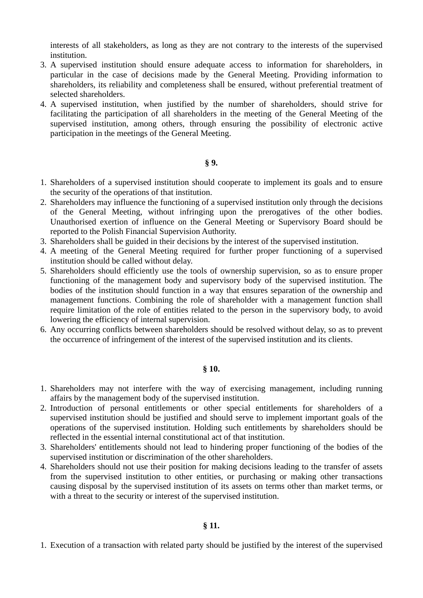interests of all stakeholders, as long as they are not contrary to the interests of the supervised institution.

- 3. A supervised institution should ensure adequate access to information for shareholders, in particular in the case of decisions made by the General Meeting. Providing information to shareholders, its reliability and completeness shall be ensured, without preferential treatment of selected shareholders.
- 4. A supervised institution, when justified by the number of shareholders, should strive for facilitating the participation of all shareholders in the meeting of the General Meeting of the supervised institution, among others, through ensuring the possibility of electronic active participation in the meetings of the General Meeting.

# **§ 9.**

- 1. Shareholders of a supervised institution should cooperate to implement its goals and to ensure the security of the operations of that institution.
- 2. Shareholders may influence the functioning of a supervised institution only through the decisions of the General Meeting, without infringing upon the prerogatives of the other bodies. Unauthorised exertion of influence on the General Meeting or Supervisory Board should be reported to the Polish Financial Supervision Authority.
- 3. Shareholders shall be guided in their decisions by the interest of the supervised institution.
- 4. A meeting of the General Meeting required for further proper functioning of a supervised institution should be called without delay.
- 5. Shareholders should efficiently use the tools of ownership supervision, so as to ensure proper functioning of the management body and supervisory body of the supervised institution. The bodies of the institution should function in a way that ensures separation of the ownership and management functions. Combining the role of shareholder with a management function shall require limitation of the role of entities related to the person in the supervisory body, to avoid lowering the efficiency of internal supervision.
- 6. Any occurring conflicts between shareholders should be resolved without delay, so as to prevent the occurrence of infringement of the interest of the supervised institution and its clients.

## **§ 10.**

- 1. Shareholders may not interfere with the way of exercising management, including running affairs by the management body of the supervised institution.
- 2. Introduction of personal entitlements or other special entitlements for shareholders of a supervised institution should be justified and should serve to implement important goals of the operations of the supervised institution. Holding such entitlements by shareholders should be reflected in the essential internal constitutional act of that institution.
- 3. Shareholders' entitlements should not lead to hindering proper functioning of the bodies of the supervised institution or discrimination of the other shareholders.
- 4. Shareholders should not use their position for making decisions leading to the transfer of assets from the supervised institution to other entities, or purchasing or making other transactions causing disposal by the supervised institution of its assets on terms other than market terms, or with a threat to the security or interest of the supervised institution.

1. Execution of a transaction with related party should be justified by the interest of the supervised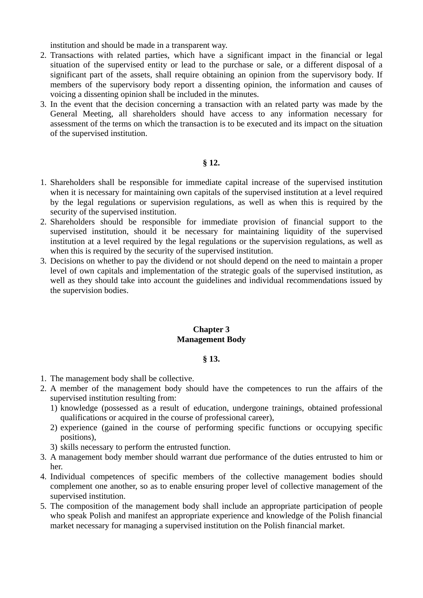institution and should be made in a transparent way.

- 2. Transactions with related parties, which have a significant impact in the financial or legal situation of the supervised entity or lead to the purchase or sale, or a different disposal of a significant part of the assets, shall require obtaining an opinion from the supervisory body. If members of the supervisory body report a dissenting opinion, the information and causes of voicing a dissenting opinion shall be included in the minutes.
- 3. In the event that the decision concerning a transaction with an related party was made by the General Meeting, all shareholders should have access to any information necessary for assessment of the terms on which the transaction is to be executed and its impact on the situation of the supervised institution.

## **§ 12.**

- 1. Shareholders shall be responsible for immediate capital increase of the supervised institution when it is necessary for maintaining own capitals of the supervised institution at a level required by the legal regulations or supervision regulations, as well as when this is required by the security of the supervised institution.
- 2. Shareholders should be responsible for immediate provision of financial support to the supervised institution, should it be necessary for maintaining liquidity of the supervised institution at a level required by the legal regulations or the supervision regulations, as well as when this is required by the security of the supervised institution.
- 3. Decisions on whether to pay the dividend or not should depend on the need to maintain a proper level of own capitals and implementation of the strategic goals of the supervised institution, as well as they should take into account the guidelines and individual recommendations issued by the supervision bodies.

# **Chapter 3 Management Body**

## **§ 13.**

- 1. The management body shall be collective.
- 2. A member of the management body should have the competences to run the affairs of the supervised institution resulting from:
	- 1) knowledge (possessed as a result of education, undergone trainings, obtained professional qualifications or acquired in the course of professional career),
	- 2) experience (gained in the course of performing specific functions or occupying specific positions),
	- 3) skills necessary to perform the entrusted function.
- 3. A management body member should warrant due performance of the duties entrusted to him or her.
- 4. Individual competences of specific members of the collective management bodies should complement one another, so as to enable ensuring proper level of collective management of the supervised institution.
- 5. The composition of the management body shall include an appropriate participation of people who speak Polish and manifest an appropriate experience and knowledge of the Polish financial market necessary for managing a supervised institution on the Polish financial market.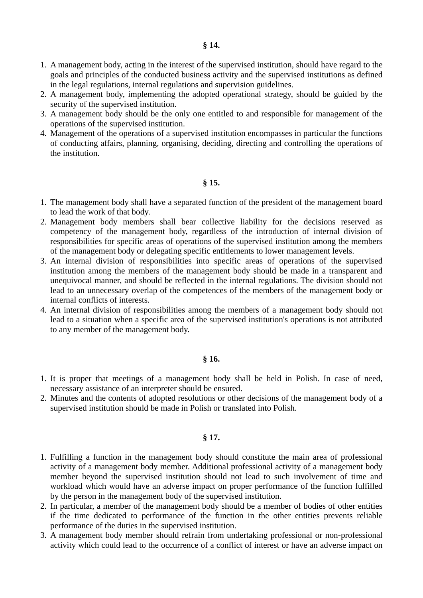- 1. A management body, acting in the interest of the supervised institution, should have regard to the goals and principles of the conducted business activity and the supervised institutions as defined in the legal regulations, internal regulations and supervision guidelines.
- 2. A management body, implementing the adopted operational strategy, should be guided by the security of the supervised institution.
- 3. A management body should be the only one entitled to and responsible for management of the operations of the supervised institution.
- 4. Management of the operations of a supervised institution encompasses in particular the functions of conducting affairs, planning, organising, deciding, directing and controlling the operations of the institution.

## **§ 15.**

- 1. The management body shall have a separated function of the president of the management board to lead the work of that body.
- 2. Management body members shall bear collective liability for the decisions reserved as competency of the management body, regardless of the introduction of internal division of responsibilities for specific areas of operations of the supervised institution among the members of the management body or delegating specific entitlements to lower management levels.
- 3. An internal division of responsibilities into specific areas of operations of the supervised institution among the members of the management body should be made in a transparent and unequivocal manner, and should be reflected in the internal regulations. The division should not lead to an unnecessary overlap of the competences of the members of the management body or internal conflicts of interests.
- 4. An internal division of responsibilities among the members of a management body should not lead to a situation when a specific area of the supervised institution's operations is not attributed to any member of the management body.

## **§ 16.**

- 1. It is proper that meetings of a management body shall be held in Polish. In case of need, necessary assistance of an interpreter should be ensured.
- 2. Minutes and the contents of adopted resolutions or other decisions of the management body of a supervised institution should be made in Polish or translated into Polish.

# **§ 17.**

- 1. Fulfilling a function in the management body should constitute the main area of professional activity of a management body member. Additional professional activity of a management body member beyond the supervised institution should not lead to such involvement of time and workload which would have an adverse impact on proper performance of the function fulfilled by the person in the management body of the supervised institution.
- 2. In particular, a member of the management body should be a member of bodies of other entities if the time dedicated to performance of the function in the other entities prevents reliable performance of the duties in the supervised institution.
- 3. A management body member should refrain from undertaking professional or non-professional activity which could lead to the occurrence of a conflict of interest or have an adverse impact on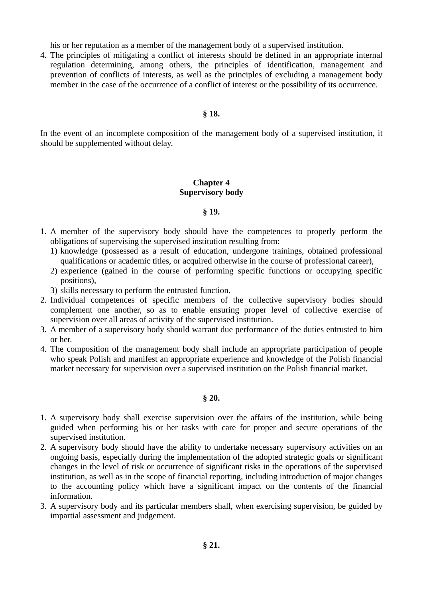his or her reputation as a member of the management body of a supervised institution.

4. The principles of mitigating a conflict of interests should be defined in an appropriate internal regulation determining, among others, the principles of identification, management and prevention of conflicts of interests, as well as the principles of excluding a management body member in the case of the occurrence of a conflict of interest or the possibility of its occurrence.

## **§ 18.**

In the event of an incomplete composition of the management body of a supervised institution, it should be supplemented without delay.

# **Chapter 4 Supervisory body**

## **§ 19.**

- 1. A member of the supervisory body should have the competences to properly perform the obligations of supervising the supervised institution resulting from:
	- 1) knowledge (possessed as a result of education, undergone trainings, obtained professional qualifications or academic titles, or acquired otherwise in the course of professional career),
	- 2) experience (gained in the course of performing specific functions or occupying specific positions),
	- 3) skills necessary to perform the entrusted function.
- 2. Individual competences of specific members of the collective supervisory bodies should complement one another, so as to enable ensuring proper level of collective exercise of supervision over all areas of activity of the supervised institution.
- 3. A member of a supervisory body should warrant due performance of the duties entrusted to him or her.
- 4. The composition of the management body shall include an appropriate participation of people who speak Polish and manifest an appropriate experience and knowledge of the Polish financial market necessary for supervision over a supervised institution on the Polish financial market.

## **§ 20.**

- 1. A supervisory body shall exercise supervision over the affairs of the institution, while being guided when performing his or her tasks with care for proper and secure operations of the supervised institution.
- 2. A supervisory body should have the ability to undertake necessary supervisory activities on an ongoing basis, especially during the implementation of the adopted strategic goals or significant changes in the level of risk or occurrence of significant risks in the operations of the supervised institution, as well as in the scope of financial reporting, including introduction of major changes to the accounting policy which have a significant impact on the contents of the financial information.
- 3. A supervisory body and its particular members shall, when exercising supervision, be guided by impartial assessment and judgement.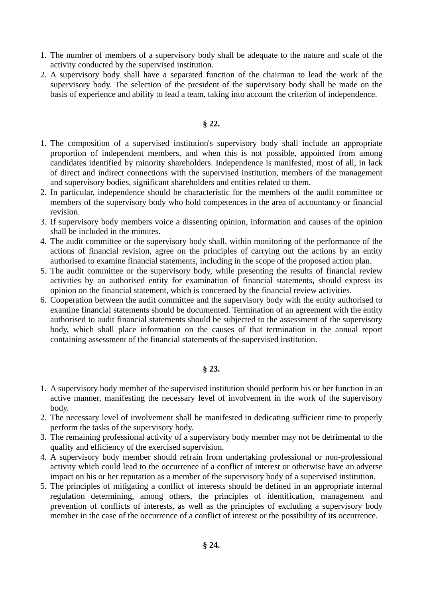- 1. The number of members of a supervisory body shall be adequate to the nature and scale of the activity conducted by the supervised institution.
- 2. A supervisory body shall have a separated function of the chairman to lead the work of the supervisory body. The selection of the president of the supervisory body shall be made on the basis of experience and ability to lead a team, taking into account the criterion of independence.

# **§ 22.**

- 1. The composition of a supervised institution's supervisory body shall include an appropriate proportion of independent members, and when this is not possible, appointed from among candidates identified by minority shareholders. Independence is manifested, most of all, in lack of direct and indirect connections with the supervised institution, members of the management and supervisory bodies, significant shareholders and entities related to them.
- 2. In particular, independence should be characteristic for the members of the audit committee or members of the supervisory body who hold competences in the area of accountancy or financial revision.
- 3. If supervisory body members voice a dissenting opinion, information and causes of the opinion shall be included in the minutes.
- 4. The audit committee or the supervisory body shall, within monitoring of the performance of the actions of financial revision, agree on the principles of carrying out the actions by an entity authorised to examine financial statements, including in the scope of the proposed action plan.
- 5. The audit committee or the supervisory body, while presenting the results of financial review activities by an authorised entity for examination of financial statements, should express its opinion on the financial statement, which is concerned by the financial review activities.
- 6. Cooperation between the audit committee and the supervisory body with the entity authorised to examine financial statements should be documented. Termination of an agreement with the entity authorised to audit financial statements should be subjected to the assessment of the supervisory body, which shall place information on the causes of that termination in the annual report containing assessment of the financial statements of the supervised institution.

# **§ 23.**

- 1. A supervisory body member of the supervised institution should perform his or her function in an active manner, manifesting the necessary level of involvement in the work of the supervisory body.
- 2. The necessary level of involvement shall be manifested in dedicating sufficient time to properly perform the tasks of the supervisory body.
- 3. The remaining professional activity of a supervisory body member may not be detrimental to the quality and efficiency of the exercised supervision.
- 4. A supervisory body member should refrain from undertaking professional or non-professional activity which could lead to the occurrence of a conflict of interest or otherwise have an adverse impact on his or her reputation as a member of the supervisory body of a supervised institution.
- 5. The principles of mitigating a conflict of interests should be defined in an appropriate internal regulation determining, among others, the principles of identification, management and prevention of conflicts of interests, as well as the principles of excluding a supervisory body member in the case of the occurrence of a conflict of interest or the possibility of its occurrence.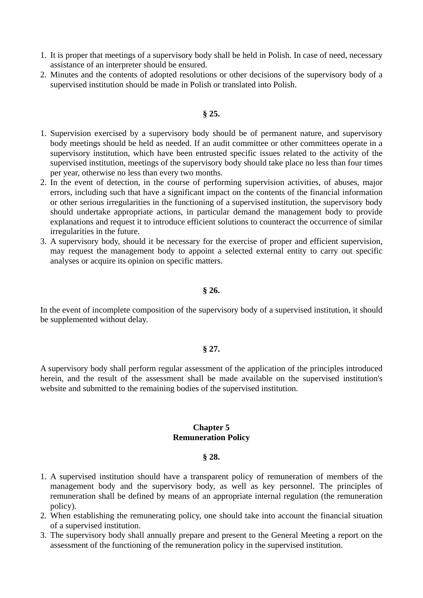- 1. It is proper that meetings of a supervisory body shall be held in Polish. In case of need, necessary assistance of an interpreter should be ensured.
- 2. Minutes and the contents of adopted resolutions or other decisions of the supervisory body of a supervised institution should be made in Polish or translated into Polish.

## **§ 25.**

- 1. Supervision exercised by a supervisory body should be of permanent nature, and supervisory body meetings should be held as needed. If an audit committee or other committees operate in a supervisory institution, which have been entrusted specific issues related to the activity of the supervised institution, meetings of the supervisory body should take place no less than four times per year, otherwise no less than every two months.
- 2. In the event of detection, in the course of performing supervision activities, of abuses, major errors, including such that have a significant impact on the contents of the financial information or other serious irregularities in the functioning of a supervised institution, the supervisory body should undertake appropriate actions, in particular demand the management body to provide explanations and request it to introduce efficient solutions to counteract the occurrence of similar irregularities in the future.
- 3. A supervisory body, should it be necessary for the exercise of proper and efficient supervision, may request the management body to appoint a selected external entity to carry out specific analyses or acquire its opinion on specific matters.

## **§ 26.**

In the event of incomplete composition of the supervisory body of a supervised institution, it should be supplemented without delay.

## **§ 27.**

A supervisory body shall perform regular assessment of the application of the principles introduced herein, and the result of the assessment shall be made available on the supervised institution's website and submitted to the remaining bodies of the supervised institution.

## **Chapter 5 Remuneration Policy**

#### **§ 28.**

- 1. A supervised institution should have a transparent policy of remuneration of members of the management body and the supervisory body, as well as key personnel. The principles of remuneration shall be defined by means of an appropriate internal regulation (the remuneration policy).
- 2. When establishing the remunerating policy, one should take into account the financial situation of a supervised institution.
- 3. The supervisory body shall annually prepare and present to the General Meeting a report on the assessment of the functioning of the remuneration policy in the supervised institution.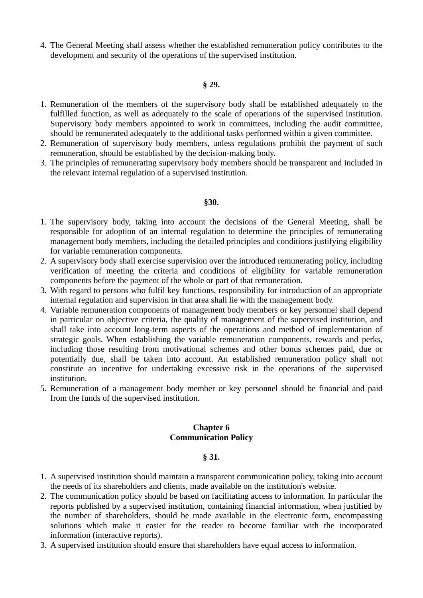4. The General Meeting shall assess whether the established remuneration policy contributes to the development and security of the operations of the supervised institution.

## **§ 29.**

- 1. Remuneration of the members of the supervisory body shall be established adequately to the fulfilled function, as well as adequately to the scale of operations of the supervised institution. Supervisory body members appointed to work in committees, including the audit committee, should be remunerated adequately to the additional tasks performed within a given committee.
- 2. Remuneration of supervisory body members, unless regulations prohibit the payment of such remuneration, should be established by the decision-making body.
- 3. The principles of remunerating supervisory body members should be transparent and included in the relevant internal regulation of a supervised institution.

## **§30.**

- 1. The supervisory body, taking into account the decisions of the General Meeting, shall be responsible for adoption of an internal regulation to determine the principles of remunerating management body members, including the detailed principles and conditions justifying eligibility for variable remuneration components.
- 2. A supervisory body shall exercise supervision over the introduced remunerating policy, including verification of meeting the criteria and conditions of eligibility for variable remuneration components before the payment of the whole or part of that remuneration.
- 3. With regard to persons who fulfil key functions, responsibility for introduction of an appropriate internal regulation and supervision in that area shall lie with the management body.
- 4. Variable remuneration components of management body members or key personnel shall depend in particular on objective criteria, the quality of management of the supervised institution, and shall take into account long-term aspects of the operations and method of implementation of strategic goals. When establishing the variable remuneration components, rewards and perks, including those resulting from motivational schemes and other bonus schemes paid, due or potentially due, shall be taken into account. An established remuneration policy shall not constitute an incentive for undertaking excessive risk in the operations of the supervised institution.
- 5. Remuneration of a management body member or key personnel should be financial and paid from the funds of the supervised institution.

## **Chapter 6 Communication Policy**

# **§ 31.**

- 1. A supervised institution should maintain a transparent communication policy, taking into account the needs of its shareholders and clients, made available on the institution's website.
- 2. The communication policy should be based on facilitating access to information. In particular the reports published by a supervised institution, containing financial information, when justified by the number of shareholders, should be made available in the electronic form, encompassing solutions which make it easier for the reader to become familiar with the incorporated information (interactive reports).
- 3. A supervised institution should ensure that shareholders have equal access to information.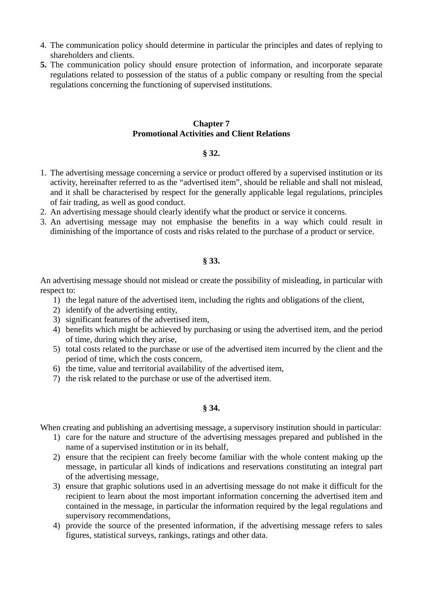- 4. The communication policy should determine in particular the principles and dates of replying to shareholders and clients.
- **5.** The communication policy should ensure protection of information, and incorporate separate regulations related to possession of the status of a public company or resulting from the special regulations concerning the functioning of supervised institutions.

## **Chapter 7 Promotional Activities and Client Relations**

# **§ 32.**

- 1. The advertising message concerning a service or product offered by a supervised institution or its activity, hereinafter referred to as the "advertised item", should be reliable and shall not mislead, and it shall be characterised by respect for the generally applicable legal regulations, principles of fair trading, as well as good conduct.
- 2. An advertising message should clearly identify what the product or service it concerns.
- 3. An advertising message may not emphasise the benefits in a way which could result in diminishing of the importance of costs and risks related to the purchase of a product or service.

# **§ 33.**

An advertising message should not mislead or create the possibility of misleading, in particular with respect to:

- 1) the legal nature of the advertised item, including the rights and obligations of the client,
- 2) identify of the advertising entity,
- 3) significant features of the advertised item,
- 4) benefits which might be achieved by purchasing or using the advertised item, and the period of time, during which they arise,
- 5) total costs related to the purchase or use of the advertised item incurred by the client and the period of time, which the costs concern,
- 6) the time, value and territorial availability of the advertised item,
- 7) the risk related to the purchase or use of the advertised item.

# **§ 34.**

When creating and publishing an advertising message, a supervisory institution should in particular:

- 1) care for the nature and structure of the advertising messages prepared and published in the name of a supervised institution or in its behalf,
- 2) ensure that the recipient can freely become familiar with the whole content making up the message, in particular all kinds of indications and reservations constituting an integral part of the advertising message,
- 3) ensure that graphic solutions used in an advertising message do not make it difficult for the recipient to learn about the most important information concerning the advertised item and contained in the message, in particular the information required by the legal regulations and supervisory recommendations,
- 4) provide the source of the presented information, if the advertising message refers to sales figures, statistical surveys, rankings, ratings and other data.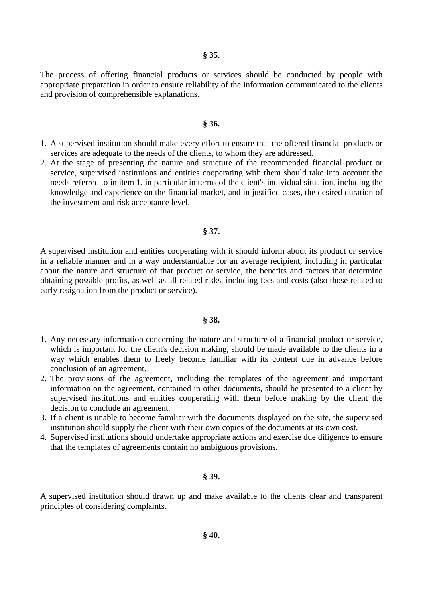The process of offering financial products or services should be conducted by people with appropriate preparation in order to ensure reliability of the information communicated to the clients and provision of comprehensible explanations.

#### **§ 36.**

- 1. A supervised institution should make every effort to ensure that the offered financial products or services are adequate to the needs of the clients, to whom they are addressed.
- 2. At the stage of presenting the nature and structure of the recommended financial product or service, supervised institutions and entities cooperating with them should take into account the needs referred to in item 1, in particular in terms of the client's individual situation, including the knowledge and experience on the financial market, and in justified cases, the desired duration of the investment and risk acceptance level.

#### **§ 37.**

A supervised institution and entities cooperating with it should inform about its product or service in a reliable manner and in a way understandable for an average recipient, including in particular about the nature and structure of that product or service, the benefits and factors that determine obtaining possible profits, as well as all related risks, including fees and costs (also those related to early resignation from the product or service).

#### **§ 38.**

- 1. Any necessary information concerning the nature and structure of a financial product or service, which is important for the client's decision making, should be made available to the clients in a way which enables them to freely become familiar with its content due in advance before conclusion of an agreement.
- 2. The provisions of the agreement, including the templates of the agreement and important information on the agreement, contained in other documents, should be presented to a client by supervised institutions and entities cooperating with them before making by the client the decision to conclude an agreement.
- 3. If a client is unable to become familiar with the documents displayed on the site, the supervised institution should supply the client with their own copies of the documents at its own cost.
- 4. Supervised institutions should undertake appropriate actions and exercise due diligence to ensure that the templates of agreements contain no ambiguous provisions.

#### **§ 39.**

A supervised institution should drawn up and make available to the clients clear and transparent principles of considering complaints.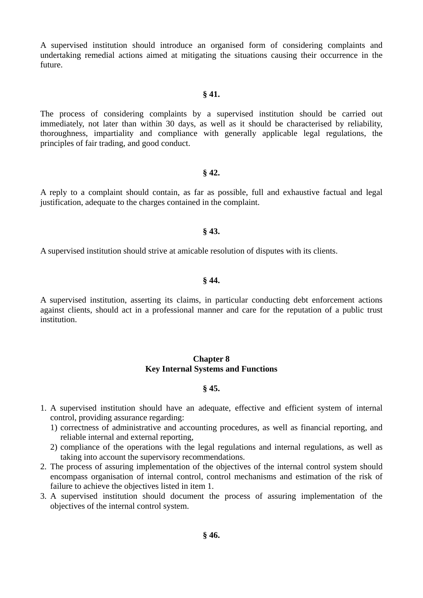A supervised institution should introduce an organised form of considering complaints and undertaking remedial actions aimed at mitigating the situations causing their occurrence in the future.

#### **§ 41.**

The process of considering complaints by a supervised institution should be carried out immediately, not later than within 30 days, as well as it should be characterised by reliability, thoroughness, impartiality and compliance with generally applicable legal regulations, the principles of fair trading, and good conduct.

#### **§ 42.**

A reply to a complaint should contain, as far as possible, full and exhaustive factual and legal justification, adequate to the charges contained in the complaint.

#### **§ 43.**

A supervised institution should strive at amicable resolution of disputes with its clients.

#### **§ 44.**

A supervised institution, asserting its claims, in particular conducting debt enforcement actions against clients, should act in a professional manner and care for the reputation of a public trust institution.

## **Chapter 8 Key Internal Systems and Functions**

#### **§ 45.**

- 1. A supervised institution should have an adequate, effective and efficient system of internal control, providing assurance regarding:
	- 1) correctness of administrative and accounting procedures, as well as financial reporting, and reliable internal and external reporting,
	- 2) compliance of the operations with the legal regulations and internal regulations, as well as taking into account the supervisory recommendations.
- 2. The process of assuring implementation of the objectives of the internal control system should encompass organisation of internal control, control mechanisms and estimation of the risk of failure to achieve the objectives listed in item 1.
- 3. A supervised institution should document the process of assuring implementation of the objectives of the internal control system.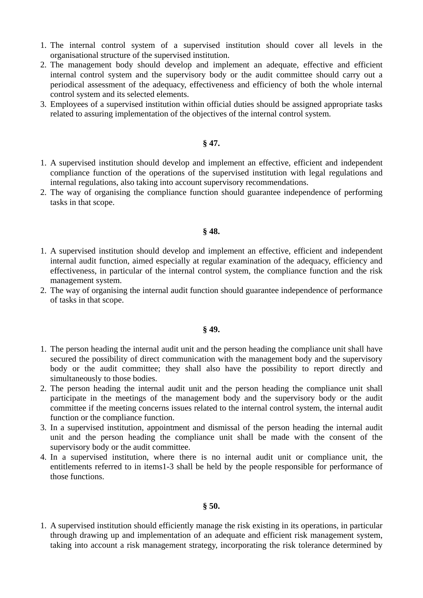- 1. The internal control system of a supervised institution should cover all levels in the organisational structure of the supervised institution.
- 2. The management body should develop and implement an adequate, effective and efficient internal control system and the supervisory body or the audit committee should carry out a periodical assessment of the adequacy, effectiveness and efficiency of both the whole internal control system and its selected elements.
- 3. Employees of a supervised institution within official duties should be assigned appropriate tasks related to assuring implementation of the objectives of the internal control system.

## **§ 47.**

- 1. A supervised institution should develop and implement an effective, efficient and independent compliance function of the operations of the supervised institution with legal regulations and internal regulations, also taking into account supervisory recommendations.
- 2. The way of organising the compliance function should guarantee independence of performing tasks in that scope.

## **§ 48.**

- 1. A supervised institution should develop and implement an effective, efficient and independent internal audit function, aimed especially at regular examination of the adequacy, efficiency and effectiveness, in particular of the internal control system, the compliance function and the risk management system.
- 2. The way of organising the internal audit function should guarantee independence of performance of tasks in that scope.

## **§ 49.**

- 1. The person heading the internal audit unit and the person heading the compliance unit shall have secured the possibility of direct communication with the management body and the supervisory body or the audit committee; they shall also have the possibility to report directly and simultaneously to those bodies.
- 2. The person heading the internal audit unit and the person heading the compliance unit shall participate in the meetings of the management body and the supervisory body or the audit committee if the meeting concerns issues related to the internal control system, the internal audit function or the compliance function.
- 3. In a supervised institution, appointment and dismissal of the person heading the internal audit unit and the person heading the compliance unit shall be made with the consent of the supervisory body or the audit committee.
- 4. In a supervised institution, where there is no internal audit unit or compliance unit, the entitlements referred to in items1-3 shall be held by the people responsible for performance of those functions.

## **§ 50.**

1. A supervised institution should efficiently manage the risk existing in its operations, in particular through drawing up and implementation of an adequate and efficient risk management system, taking into account a risk management strategy, incorporating the risk tolerance determined by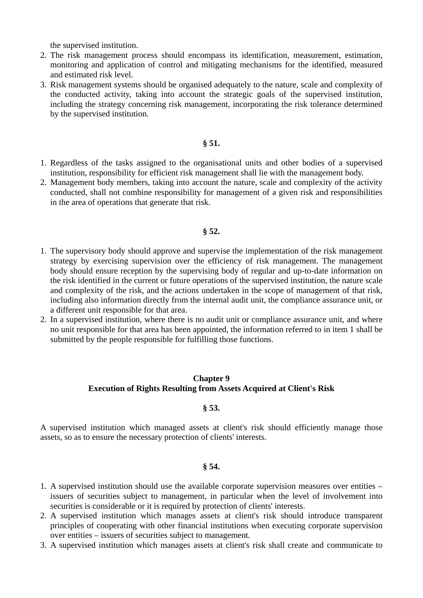the supervised institution.

- 2. The risk management process should encompass its identification, measurement, estimation, monitoring and application of control and mitigating mechanisms for the identified, measured and estimated risk level.
- 3. Risk management systems should be organised adequately to the nature, scale and complexity of the conducted activity, taking into account the strategic goals of the supervised institution, including the strategy concerning risk management, incorporating the risk tolerance determined by the supervised institution.

## **§ 51.**

- 1. Regardless of the tasks assigned to the organisational units and other bodies of a supervised institution, responsibility for efficient risk management shall lie with the management body.
- 2. Management body members, taking into account the nature, scale and complexity of the activity conducted, shall not combine responsibility for management of a given risk and responsibilities in the area of operations that generate that risk.

## **§ 52.**

- 1. The supervisory body should approve and supervise the implementation of the risk management strategy by exercising supervision over the efficiency of risk management. The management body should ensure reception by the supervising body of regular and up-to-date information on the risk identified in the current or future operations of the supervised institution, the nature scale and complexity of the risk, and the actions undertaken in the scope of management of that risk, including also information directly from the internal audit unit, the compliance assurance unit, or a different unit responsible for that area.
- 2. In a supervised institution, where there is no audit unit or compliance assurance unit, and where no unit responsible for that area has been appointed, the information referred to in item 1 shall be submitted by the people responsible for fulfilling those functions.

# **Chapter 9 Execution of Rights Resulting from Assets Acquired at Client's Risk**

## **§ 53.**

A supervised institution which managed assets at client's risk should efficiently manage those assets, so as to ensure the necessary protection of clients' interests.

## **§ 54.**

- 1. A supervised institution should use the available corporate supervision measures over entities issuers of securities subject to management, in particular when the level of involvement into securities is considerable or it is required by protection of clients' interests.
- 2. A supervised institution which manages assets at client's risk should introduce transparent principles of cooperating with other financial institutions when executing corporate supervision over entities – issuers of securities subject to management.
- 3. A supervised institution which manages assets at client's risk shall create and communicate to